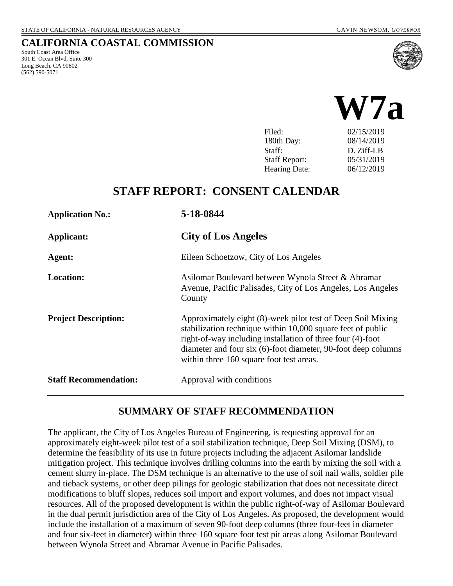South Coast Area Office 301 E. Ocean Blvd, Suite 300 Long Beach, CA 90802 (562) 590-5071

**CALIFORNIA COASTAL COMMISSION**



| I IIU.               | <u>04/19/4012</u> |
|----------------------|-------------------|
| 180th Day:           | 08/14/2019        |
| Staff:               | D. Ziff-LB        |
| <b>Staff Report:</b> | 05/31/2019        |
| <b>Hearing Date:</b> | 06/12/2019        |

# **STAFF REPORT: CONSENT CALENDAR**

| <b>Application No.:</b>      | 5-18-0844                                                                                                                                                                                                                                                                                             |
|------------------------------|-------------------------------------------------------------------------------------------------------------------------------------------------------------------------------------------------------------------------------------------------------------------------------------------------------|
| Applicant:                   | <b>City of Los Angeles</b>                                                                                                                                                                                                                                                                            |
| Agent:                       | Eileen Schoetzow, City of Los Angeles                                                                                                                                                                                                                                                                 |
| <b>Location:</b>             | Asilomar Boulevard between Wynola Street & Abramar<br>Avenue, Pacific Palisades, City of Los Angeles, Los Angeles<br>County                                                                                                                                                                           |
| <b>Project Description:</b>  | Approximately eight (8)-week pilot test of Deep Soil Mixing<br>stabilization technique within 10,000 square feet of public<br>right-of-way including installation of three four (4)-foot<br>diameter and four six (6)-foot diameter, 90-foot deep columns<br>within three 160 square foot test areas. |
| <b>Staff Recommendation:</b> | Approval with conditions                                                                                                                                                                                                                                                                              |

#### **SUMMARY OF STAFF RECOMMENDATION**

The applicant, the City of Los Angeles Bureau of Engineering, is requesting approval for an approximately eight-week pilot test of a soil stabilization technique, Deep Soil Mixing (DSM), to determine the feasibility of its use in future projects including the adjacent Asilomar landslide mitigation project. This technique involves drilling columns into the earth by mixing the soil with a cement slurry in-place. The DSM technique is an alternative to the use of soil nail walls, soldier pile and tieback systems, or other deep pilings for geologic stabilization that does not necessitate direct modifications to bluff slopes, reduces soil import and export volumes, and does not impact visual resources. All of the proposed development is within the public right-of-way of Asilomar Boulevard in the dual permit jurisdiction area of the City of Los Angeles. As proposed, the development would include the installation of a maximum of seven 90-foot deep columns (three four-feet in diameter and four six-feet in diameter) within three 160 square foot test pit areas along Asilomar Boulevard between Wynola Street and Abramar Avenue in Pacific Palisades.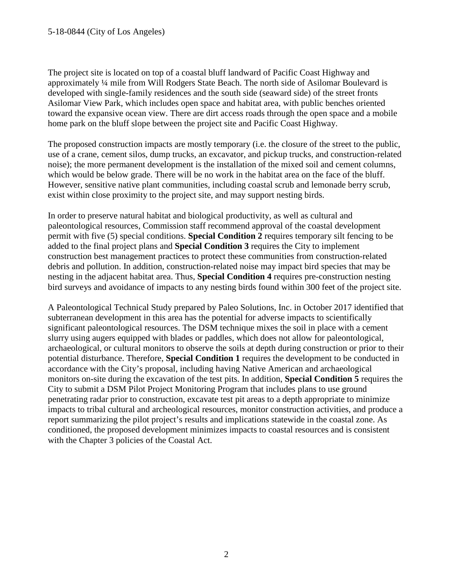The project site is located on top of a coastal bluff landward of Pacific Coast Highway and approximately ¼ mile from Will Rodgers State Beach. The north side of Asilomar Boulevard is developed with single-family residences and the south side (seaward side) of the street fronts Asilomar View Park, which includes open space and habitat area, with public benches oriented toward the expansive ocean view. There are dirt access roads through the open space and a mobile home park on the bluff slope between the project site and Pacific Coast Highway.

The proposed construction impacts are mostly temporary (i.e. the closure of the street to the public, use of a crane, cement silos, dump trucks, an excavator, and pickup trucks, and construction-related noise); the more permanent development is the installation of the mixed soil and cement columns, which would be below grade. There will be no work in the habitat area on the face of the bluff. However, sensitive native plant communities, including coastal scrub and lemonade berry scrub, exist within close proximity to the project site, and may support nesting birds.

In order to preserve natural habitat and biological productivity, as well as cultural and paleontological resources, Commission staff recommend approval of the coastal development permit with five (5) special conditions. **Special Condition 2** requires temporary silt fencing to be added to the final project plans and **Special Condition 3** requires the City to implement construction best management practices to protect these communities from construction-related debris and pollution. In addition, construction-related noise may impact bird species that may be nesting in the adjacent habitat area. Thus, **Special Condition 4** requires pre-construction nesting bird surveys and avoidance of impacts to any nesting birds found within 300 feet of the project site.

A Paleontological Technical Study prepared by Paleo Solutions, Inc. in October 2017 identified that subterranean development in this area has the potential for adverse impacts to scientifically significant paleontological resources. The DSM technique mixes the soil in place with a cement slurry using augers equipped with blades or paddles, which does not allow for paleontological, archaeological, or cultural monitors to observe the soils at depth during construction or prior to their potential disturbance. Therefore, **Special Condition 1** requires the development to be conducted in accordance with the City's proposal, including having Native American and archaeological monitors on-site during the excavation of the test pits. In addition, **Special Condition 5** requires the City to submit a DSM Pilot Project Monitoring Program that includes plans to use ground penetrating radar prior to construction, excavate test pit areas to a depth appropriate to minimize impacts to tribal cultural and archeological resources, monitor construction activities, and produce a report summarizing the pilot project's results and implications statewide in the coastal zone. As conditioned, the proposed development minimizes impacts to coastal resources and is consistent with the Chapter 3 policies of the Coastal Act.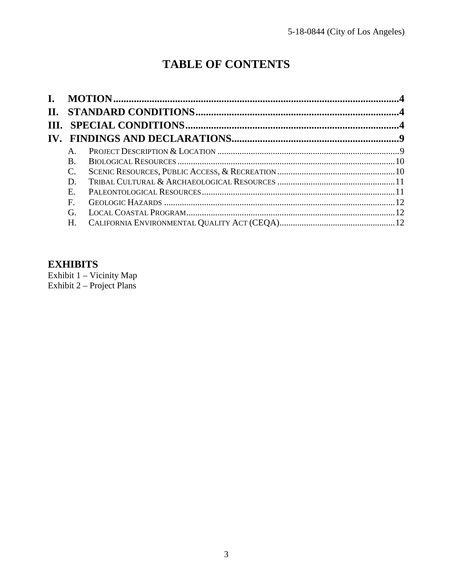# **TABLE OF CONTENTS**

| П. |             |  |
|----|-------------|--|
|    |             |  |
|    |             |  |
|    | $A_{.}$     |  |
|    | B.          |  |
|    | C.          |  |
|    | D.          |  |
|    | $E_{\rm c}$ |  |
|    | F.          |  |
|    | G.          |  |
|    | H.          |  |

#### **EXHIBITS**

Exhibit 1 - Vicinity Map Exhibit  $2$  – Project Plans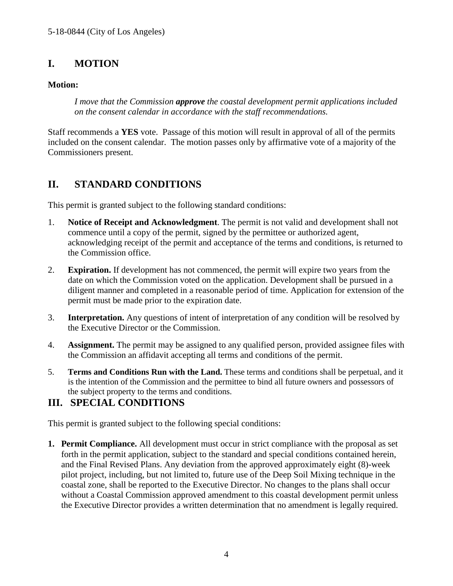# <span id="page-3-0"></span>**I. MOTION**

#### **Motion:**

*I move that the Commission approve the coastal development permit applications included on the consent calendar in accordance with the staff recommendations.*

Staff recommends a **YES** vote. Passage of this motion will result in approval of all of the permits included on the consent calendar. The motion passes only by affirmative vote of a majority of the Commissioners present.

# <span id="page-3-1"></span>**II. STANDARD CONDITIONS**

This permit is granted subject to the following standard conditions:

- 1. **Notice of Receipt and Acknowledgment**. The permit is not valid and development shall not commence until a copy of the permit, signed by the permittee or authorized agent, acknowledging receipt of the permit and acceptance of the terms and conditions, is returned to the Commission office.
- 2. **Expiration.** If development has not commenced, the permit will expire two years from the date on which the Commission voted on the application. Development shall be pursued in a diligent manner and completed in a reasonable period of time. Application for extension of the permit must be made prior to the expiration date.
- 3. **Interpretation.** Any questions of intent of interpretation of any condition will be resolved by the Executive Director or the Commission.
- 4. **Assignment.** The permit may be assigned to any qualified person, provided assignee files with the Commission an affidavit accepting all terms and conditions of the permit.
- 5. **Terms and Conditions Run with the Land.** These terms and conditions shall be perpetual, and it is the intention of the Commission and the permittee to bind all future owners and possessors of the subject property to the terms and conditions.

# <span id="page-3-2"></span>**III. SPECIAL CONDITIONS**

This permit is granted subject to the following special conditions:

**1. Permit Compliance.** All development must occur in strict compliance with the proposal as set forth in the permit application, subject to the standard and special conditions contained herein, and the Final Revised Plans. Any deviation from the approved approximately eight (8)-week pilot project, including, but not limited to, future use of the Deep Soil Mixing technique in the coastal zone, shall be reported to the Executive Director. No changes to the plans shall occur without a Coastal Commission approved amendment to this coastal development permit unless the Executive Director provides a written determination that no amendment is legally required.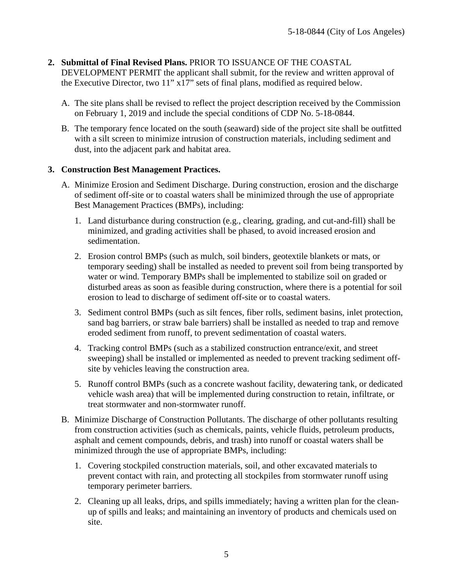- **2. Submittal of Final Revised Plans.** PRIOR TO ISSUANCE OF THE COASTAL DEVELOPMENT PERMIT the applicant shall submit, for the review and written approval of the Executive Director, two 11" x17" sets of final plans, modified as required below.
	- A. The site plans shall be revised to reflect the project description received by the Commission on February 1, 2019 and include the special conditions of CDP No. 5-18-0844.
	- B. The temporary fence located on the south (seaward) side of the project site shall be outfitted with a silt screen to minimize intrusion of construction materials, including sediment and dust, into the adjacent park and habitat area.

#### **3. Construction Best Management Practices.**

- A. Minimize Erosion and Sediment Discharge. During construction, erosion and the discharge of sediment off-site or to coastal waters shall be minimized through the use of appropriate Best Management Practices (BMPs), including:
	- 1. Land disturbance during construction (e.g., clearing, grading, and cut-and-fill) shall be minimized, and grading activities shall be phased, to avoid increased erosion and sedimentation.
	- 2. Erosion control BMPs (such as mulch, soil binders, geotextile blankets or mats, or temporary seeding) shall be installed as needed to prevent soil from being transported by water or wind. Temporary BMPs shall be implemented to stabilize soil on graded or disturbed areas as soon as feasible during construction, where there is a potential for soil erosion to lead to discharge of sediment off-site or to coastal waters.
	- 3. Sediment control BMPs (such as silt fences, fiber rolls, sediment basins, inlet protection, sand bag barriers, or straw bale barriers) shall be installed as needed to trap and remove eroded sediment from runoff, to prevent sedimentation of coastal waters.
	- 4. Tracking control BMPs (such as a stabilized construction entrance/exit, and street sweeping) shall be installed or implemented as needed to prevent tracking sediment offsite by vehicles leaving the construction area.
	- 5. Runoff control BMPs (such as a concrete washout facility, dewatering tank, or dedicated vehicle wash area) that will be implemented during construction to retain, infiltrate, or treat stormwater and non-stormwater runoff.
- B. Minimize Discharge of Construction Pollutants. The discharge of other pollutants resulting from construction activities (such as chemicals, paints, vehicle fluids, petroleum products, asphalt and cement compounds, debris, and trash) into runoff or coastal waters shall be minimized through the use of appropriate BMPs, including:
	- 1. Covering stockpiled construction materials, soil, and other excavated materials to prevent contact with rain, and protecting all stockpiles from stormwater runoff using temporary perimeter barriers.
	- 2. Cleaning up all leaks, drips, and spills immediately; having a written plan for the cleanup of spills and leaks; and maintaining an inventory of products and chemicals used on site.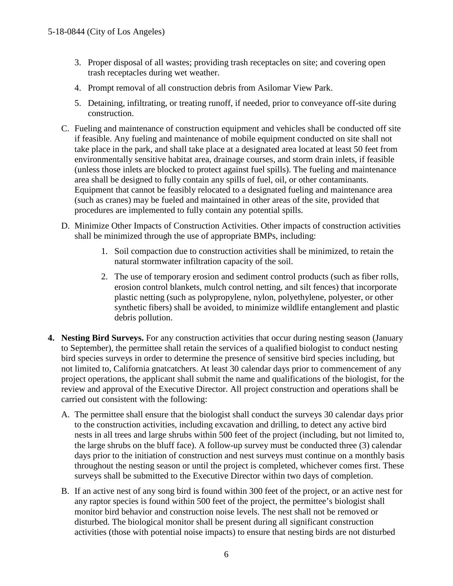- 3. Proper disposal of all wastes; providing trash receptacles on site; and covering open trash receptacles during wet weather.
- 4. Prompt removal of all construction debris from Asilomar View Park.
- 5. Detaining, infiltrating, or treating runoff, if needed, prior to conveyance off-site during construction.
- C. Fueling and maintenance of construction equipment and vehicles shall be conducted off site if feasible. Any fueling and maintenance of mobile equipment conducted on site shall not take place in the park, and shall take place at a designated area located at least 50 feet from environmentally sensitive habitat area, drainage courses, and storm drain inlets, if feasible (unless those inlets are blocked to protect against fuel spills). The fueling and maintenance area shall be designed to fully contain any spills of fuel, oil, or other contaminants. Equipment that cannot be feasibly relocated to a designated fueling and maintenance area (such as cranes) may be fueled and maintained in other areas of the site, provided that procedures are implemented to fully contain any potential spills.
- D. Minimize Other Impacts of Construction Activities. Other impacts of construction activities shall be minimized through the use of appropriate BMPs, including:
	- 1. Soil compaction due to construction activities shall be minimized, to retain the natural stormwater infiltration capacity of the soil.
	- 2. The use of temporary erosion and sediment control products (such as fiber rolls, erosion control blankets, mulch control netting, and silt fences) that incorporate plastic netting (such as polypropylene, nylon, polyethylene, polyester, or other synthetic fibers) shall be avoided, to minimize wildlife entanglement and plastic debris pollution.
- **4. Nesting Bird Surveys.** For any construction activities that occur during nesting season (January to September), the permittee shall retain the services of a qualified biologist to conduct nesting bird species surveys in order to determine the presence of sensitive bird species including, but not limited to, California gnatcatchers. At least 30 calendar days prior to commencement of any project operations, the applicant shall submit the name and qualifications of the biologist, for the review and approval of the Executive Director. All project construction and operations shall be carried out consistent with the following:
	- A. The permittee shall ensure that the biologist shall conduct the surveys 30 calendar days prior to the construction activities, including excavation and drilling, to detect any active bird nests in all trees and large shrubs within 500 feet of the project (including, but not limited to, the large shrubs on the bluff face). A follow-up survey must be conducted three (3) calendar days prior to the initiation of construction and nest surveys must continue on a monthly basis throughout the nesting season or until the project is completed, whichever comes first. These surveys shall be submitted to the Executive Director within two days of completion.
	- B. If an active nest of any song bird is found within 300 feet of the project, or an active nest for any raptor species is found within 500 feet of the project, the permittee's biologist shall monitor bird behavior and construction noise levels. The nest shall not be removed or disturbed. The biological monitor shall be present during all significant construction activities (those with potential noise impacts) to ensure that nesting birds are not disturbed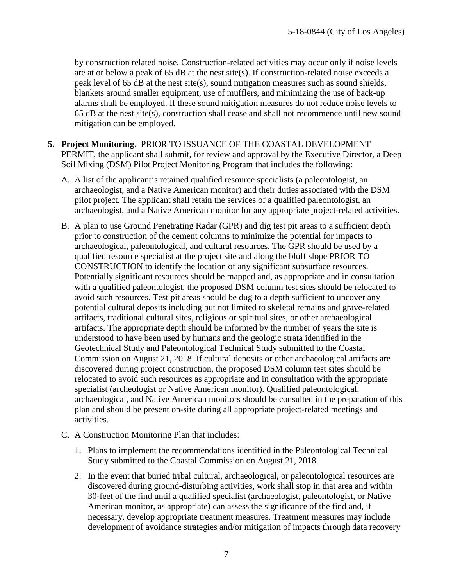by construction related noise. Construction-related activities may occur only if noise levels are at or below a peak of 65 dB at the nest site(s). If construction-related noise exceeds a peak level of 65 dB at the nest site(s), sound mitigation measures such as sound shields, blankets around smaller equipment, use of mufflers, and minimizing the use of back-up alarms shall be employed. If these sound mitigation measures do not reduce noise levels to 65 dB at the nest site(s), construction shall cease and shall not recommence until new sound mitigation can be employed.

- **5. Project Monitoring.** PRIOR TO ISSUANCE OF THE COASTAL DEVELOPMENT PERMIT, the applicant shall submit, for review and approval by the Executive Director, a Deep Soil Mixing (DSM) Pilot Project Monitoring Program that includes the following:
	- A. A list of the applicant's retained qualified resource specialists (a paleontologist, an archaeologist, and a Native American monitor) and their duties associated with the DSM pilot project. The applicant shall retain the services of a qualified paleontologist, an archaeologist, and a Native American monitor for any appropriate project-related activities.
	- B. A plan to use Ground Penetrating Radar (GPR) and dig test pit areas to a sufficient depth prior to construction of the cement columns to minimize the potential for impacts to archaeological, paleontological, and cultural resources. The GPR should be used by a qualified resource specialist at the project site and along the bluff slope PRIOR TO CONSTRUCTION to identify the location of any significant subsurface resources. Potentially significant resources should be mapped and, as appropriate and in consultation with a qualified paleontologist, the proposed DSM column test sites should be relocated to avoid such resources. Test pit areas should be dug to a depth sufficient to uncover any potential cultural deposits including but not limited to skeletal remains and grave-related artifacts, traditional cultural sites, religious or spiritual sites, or other archaeological artifacts. The appropriate depth should be informed by the number of years the site is understood to have been used by humans and the geologic strata identified in the Geotechnical Study and Paleontological Technical Study submitted to the Coastal Commission on August 21, 2018. If cultural deposits or other archaeological artifacts are discovered during project construction, the proposed DSM column test sites should be relocated to avoid such resources as appropriate and in consultation with the appropriate specialist (archeologist or Native American monitor). Qualified paleontological, archaeological, and Native American monitors should be consulted in the preparation of this plan and should be present on-site during all appropriate project-related meetings and activities.
	- C. A Construction Monitoring Plan that includes:
		- 1. Plans to implement the recommendations identified in the Paleontological Technical Study submitted to the Coastal Commission on August 21, 2018.
		- 2. In the event that buried tribal cultural, archaeological, or paleontological resources are discovered during ground-disturbing activities, work shall stop in that area and within 30-feet of the find until a qualified specialist (archaeologist, paleontologist, or Native American monitor, as appropriate) can assess the significance of the find and, if necessary, develop appropriate treatment measures. Treatment measures may include development of avoidance strategies and/or mitigation of impacts through data recovery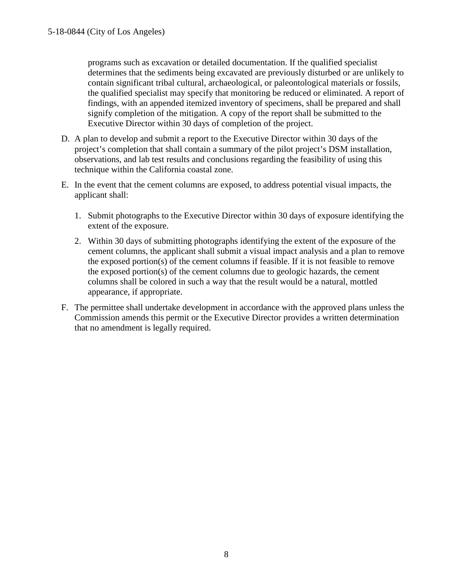programs such as excavation or detailed documentation. If the qualified specialist determines that the sediments being excavated are previously disturbed or are unlikely to contain significant tribal cultural, archaeological, or paleontological materials or fossils, the qualified specialist may specify that monitoring be reduced or eliminated. A report of findings, with an appended itemized inventory of specimens, shall be prepared and shall signify completion of the mitigation. A copy of the report shall be submitted to the Executive Director within 30 days of completion of the project.

- D. A plan to develop and submit a report to the Executive Director within 30 days of the project's completion that shall contain a summary of the pilot project's DSM installation, observations, and lab test results and conclusions regarding the feasibility of using this technique within the California coastal zone.
- E. In the event that the cement columns are exposed, to address potential visual impacts, the applicant shall:
	- 1. Submit photographs to the Executive Director within 30 days of exposure identifying the extent of the exposure.
	- 2. Within 30 days of submitting photographs identifying the extent of the exposure of the cement columns, the applicant shall submit a visual impact analysis and a plan to remove the exposed portion(s) of the cement columns if feasible. If it is not feasible to remove the exposed portion(s) of the cement columns due to geologic hazards, the cement columns shall be colored in such a way that the result would be a natural, mottled appearance, if appropriate.
- <span id="page-7-0"></span>F. The permittee shall undertake development in accordance with the approved plans unless the Commission amends this permit or the Executive Director provides a written determination that no amendment is legally required.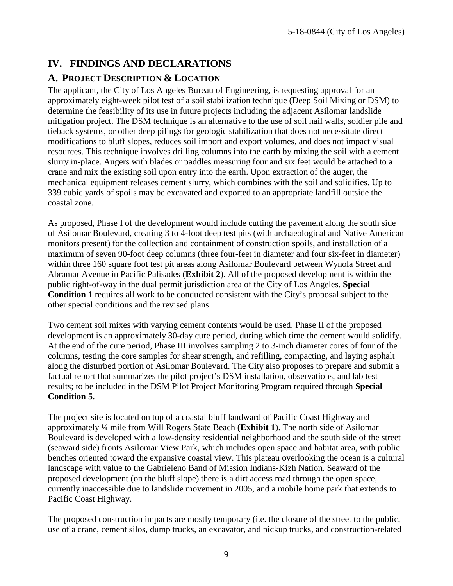# **IV. FINDINGS AND DECLARATIONS**

## <span id="page-8-0"></span>**A. PROJECT DESCRIPTION & LOCATION**

The applicant, the City of Los Angeles Bureau of Engineering, is requesting approval for an approximately eight-week pilot test of a soil stabilization technique (Deep Soil Mixing or DSM) to determine the feasibility of its use in future projects including the adjacent Asilomar landslide mitigation project. The DSM technique is an alternative to the use of soil nail walls, soldier pile and tieback systems, or other deep pilings for geologic stabilization that does not necessitate direct modifications to bluff slopes, reduces soil import and export volumes, and does not impact visual resources. This technique involves drilling columns into the earth by mixing the soil with a cement slurry in-place. Augers with blades or paddles measuring four and six feet would be attached to a crane and mix the existing soil upon entry into the earth. Upon extraction of the auger, the mechanical equipment releases cement slurry, which combines with the soil and solidifies. Up to 339 cubic yards of spoils may be excavated and exported to an appropriate landfill outside the coastal zone.

As proposed, Phase I of the development would include cutting the pavement along the south side of Asilomar Boulevard, creating 3 to 4-foot deep test pits (with archaeological and Native American monitors present) for the collection and containment of construction spoils, and installation of a maximum of seven 90-foot deep columns (three four-feet in diameter and four six-feet in diameter) within three 160 square foot test pit areas along Asilomar Boulevard between Wynola Street and Abramar Avenue in Pacific Palisades (**[Exhibit 2](https://documents.coastal.ca.gov/reports/2019/6/w7a/w7a-6-2019-exhibits.pdf)**). All of the proposed development is within the public right-of-way in the dual permit jurisdiction area of the City of Los Angeles. **Special Condition 1** requires all work to be conducted consistent with the City's proposal subject to the other special conditions and the revised plans.

Two cement soil mixes with varying cement contents would be used. Phase II of the proposed development is an approximately 30-day cure period, during which time the cement would solidify. At the end of the cure period, Phase III involves sampling 2 to 3-inch diameter cores of four of the columns, testing the core samples for shear strength, and refilling, compacting, and laying asphalt along the disturbed portion of Asilomar Boulevard. The City also proposes to prepare and submit a factual report that summarizes the pilot project's DSM installation, observations, and lab test results; to be included in the DSM Pilot Project Monitoring Program required through **Special Condition 5**.

The project site is located on top of a coastal bluff landward of Pacific Coast Highway and approximately ¼ mile from Will Rogers State Beach (**[Exhibit 1](https://documents.coastal.ca.gov/reports/2019/6/w7a/w7a-6-2019-exhibits.pdf)**). The north side of Asilomar Boulevard is developed with a low-density residential neighborhood and the south side of the street (seaward side) fronts Asilomar View Park, which includes open space and habitat area, with public benches oriented toward the expansive coastal view. This plateau overlooking the ocean is a cultural landscape with value to the Gabrieleno Band of Mission Indians-Kizh Nation. Seaward of the proposed development (on the bluff slope) there is a dirt access road through the open space, currently inaccessible due to landslide movement in 2005, and a mobile home park that extends to Pacific Coast Highway.

The proposed construction impacts are mostly temporary (i.e. the closure of the street to the public, use of a crane, cement silos, dump trucks, an excavator, and pickup trucks, and construction-related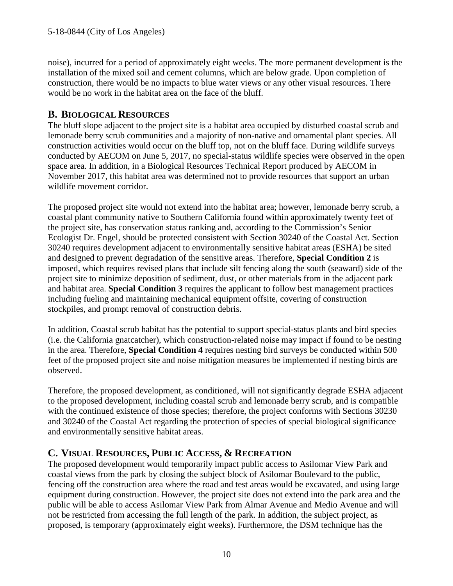noise), incurred for a period of approximately eight weeks. The more permanent development is the installation of the mixed soil and cement columns, which are below grade. Upon completion of construction, there would be no impacts to blue water views or any other visual resources. There would be no work in the habitat area on the face of the bluff.

#### <span id="page-9-0"></span>**B. BIOLOGICAL RESOURCES**

The bluff slope adjacent to the project site is a habitat area occupied by disturbed coastal scrub and lemonade berry scrub communities and a majority of non-native and ornamental plant species. All construction activities would occur on the bluff top, not on the bluff face. During wildlife surveys conducted by AECOM on June 5, 2017, no special-status wildlife species were observed in the open space area. In addition, in a Biological Resources Technical Report produced by AECOM in November 2017, this habitat area was determined not to provide resources that support an urban wildlife movement corridor.

The proposed project site would not extend into the habitat area; however, lemonade berry scrub, a coastal plant community native to Southern California found within approximately twenty feet of the project site, has conservation status ranking and, according to the Commission's Senior Ecologist Dr. Engel, should be protected consistent with Section 30240 of the Coastal Act. Section 30240 requires development adjacent to environmentally sensitive habitat areas (ESHA) be sited and designed to prevent degradation of the sensitive areas. Therefore, **Special Condition 2** is imposed, which requires revised plans that include silt fencing along the south (seaward) side of the project site to minimize deposition of sediment, dust, or other materials from in the adjacent park and habitat area. **Special Condition 3** requires the applicant to follow best management practices including fueling and maintaining mechanical equipment offsite, covering of construction stockpiles, and prompt removal of construction debris.

In addition, Coastal scrub habitat has the potential to support special-status plants and bird species (i.e. the California gnatcatcher), which construction-related noise may impact if found to be nesting in the area. Therefore, **Special Condition 4** requires nesting bird surveys be conducted within 500 feet of the proposed project site and noise mitigation measures be implemented if nesting birds are observed.

Therefore, the proposed development, as conditioned, will not significantly degrade ESHA adjacent to the proposed development, including coastal scrub and lemonade berry scrub, and is compatible with the continued existence of those species; therefore, the project conforms with Sections 30230 and 30240 of the Coastal Act regarding the protection of species of special biological significance and environmentally sensitive habitat areas.

#### <span id="page-9-1"></span>**C. VISUAL RESOURCES, PUBLIC ACCESS, & RECREATION**

The proposed development would temporarily impact public access to Asilomar View Park and coastal views from the park by closing the subject block of Asilomar Boulevard to the public, fencing off the construction area where the road and test areas would be excavated, and using large equipment during construction. However, the project site does not extend into the park area and the public will be able to access Asilomar View Park from Almar Avenue and Medio Avenue and will not be restricted from accessing the full length of the park. In addition, the subject project, as proposed, is temporary (approximately eight weeks). Furthermore, the DSM technique has the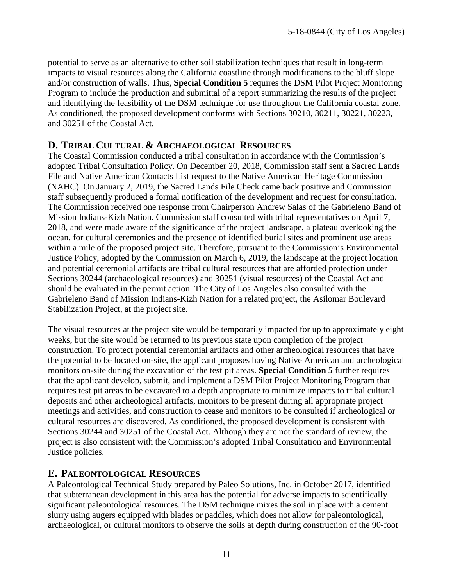potential to serve as an alternative to other soil stabilization techniques that result in long-term impacts to visual resources along the California coastline through modifications to the bluff slope and/or construction of walls. Thus, **Special Condition 5** requires the DSM Pilot Project Monitoring Program to include the production and submittal of a report summarizing the results of the project and identifying the feasibility of the DSM technique for use throughout the California coastal zone. As conditioned, the proposed development conforms with Sections 30210, 30211, 30221, 30223, and 30251 of the Coastal Act.

#### <span id="page-10-0"></span>**D. TRIBAL CULTURAL & ARCHAEOLOGICAL RESOURCES**

The Coastal Commission conducted a tribal consultation in accordance with the Commission's adopted Tribal Consultation Policy. On December 20, 2018, Commission staff sent a Sacred Lands File and Native American Contacts List request to the Native American Heritage Commission (NAHC). On January 2, 2019, the Sacred Lands File Check came back positive and Commission staff subsequently produced a formal notification of the development and request for consultation. The Commission received one response from Chairperson Andrew Salas of the Gabrieleno Band of Mission Indians-Kizh Nation. Commission staff consulted with tribal representatives on April 7, 2018, and were made aware of the significance of the project landscape, a plateau overlooking the ocean, for cultural ceremonies and the presence of identified burial sites and prominent use areas within a mile of the proposed project site. Therefore, pursuant to the Commission's Environmental Justice Policy, adopted by the Commission on March 6, 2019, the landscape at the project location and potential ceremonial artifacts are tribal cultural resources that are afforded protection under Sections 30244 (archaeological resources) and 30251 (visual resources) of the Coastal Act and should be evaluated in the permit action. The City of Los Angeles also consulted with the Gabrieleno Band of Mission Indians-Kizh Nation for a related project, the Asilomar Boulevard Stabilization Project, at the project site.

The visual resources at the project site would be temporarily impacted for up to approximately eight weeks, but the site would be returned to its previous state upon completion of the project construction. To protect potential ceremonial artifacts and other archeological resources that have the potential to be located on-site, the applicant proposes having Native American and archeological monitors on-site during the excavation of the test pit areas. **Special Condition 5** further requires that the applicant develop, submit, and implement a DSM Pilot Project Monitoring Program that requires test pit areas to be excavated to a depth appropriate to minimize impacts to tribal cultural deposits and other archeological artifacts, monitors to be present during all appropriate project meetings and activities, and construction to cease and monitors to be consulted if archeological or cultural resources are discovered. As conditioned, the proposed development is consistent with Sections 30244 and 30251 of the Coastal Act. Although they are not the standard of review, the project is also consistent with the Commission's adopted Tribal Consultation and Environmental Justice policies.

#### <span id="page-10-1"></span>**E. PALEONTOLOGICAL RESOURCES**

A Paleontological Technical Study prepared by Paleo Solutions, Inc. in October 2017, identified that subterranean development in this area has the potential for adverse impacts to scientifically significant paleontological resources. The DSM technique mixes the soil in place with a cement slurry using augers equipped with blades or paddles, which does not allow for paleontological, archaeological, or cultural monitors to observe the soils at depth during construction of the 90-foot